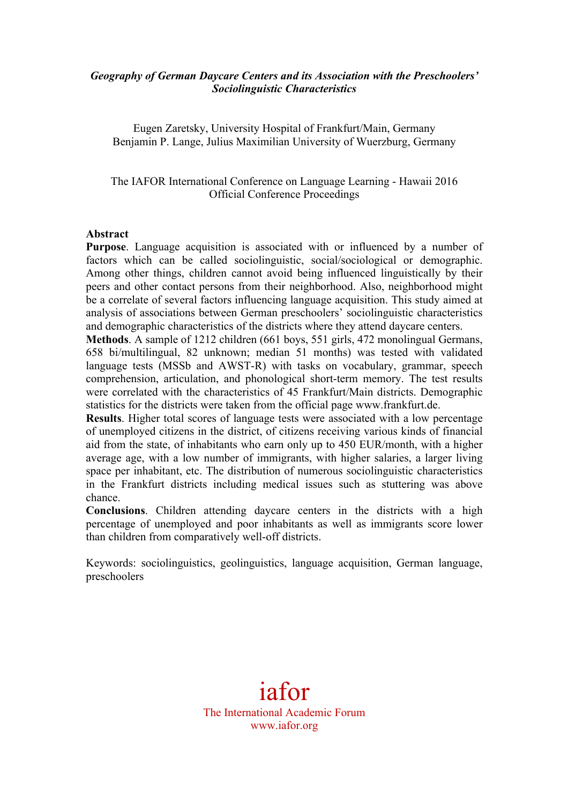## *Geography of German Daycare Centers and its Association with the Preschoolers' Sociolinguistic Characteristics*

Eugen Zaretsky, University Hospital of Frankfurt/Main, Germany Benjamin P. Lange, Julius Maximilian University of Wuerzburg, Germany

The IAFOR International Conference on Language Learning - Hawaii 2016 Official Conference Proceedings

#### **Abstract**

**Purpose**. Language acquisition is associated with or influenced by a number of factors which can be called sociolinguistic, social/sociological or demographic. Among other things, children cannot avoid being influenced linguistically by their peers and other contact persons from their neighborhood. Also, neighborhood might be a correlate of several factors influencing language acquisition. This study aimed at analysis of associations between German preschoolers' sociolinguistic characteristics and demographic characteristics of the districts where they attend daycare centers.

**Methods**. A sample of 1212 children (661 boys, 551 girls, 472 monolingual Germans, 658 bi/multilingual, 82 unknown; median 51 months) was tested with validated language tests (MSSb and AWST-R) with tasks on vocabulary, grammar, speech comprehension, articulation, and phonological short-term memory. The test results were correlated with the characteristics of 45 Frankfurt/Main districts. Demographic statistics for the districts were taken from the official page www.frankfurt.de.

**Results**. Higher total scores of language tests were associated with a low percentage of unemployed citizens in the district, of citizens receiving various kinds of financial aid from the state, of inhabitants who earn only up to 450 EUR/month, with a higher average age, with a low number of immigrants, with higher salaries, a larger living space per inhabitant, etc. The distribution of numerous sociolinguistic characteristics in the Frankfurt districts including medical issues such as stuttering was above chance.

**Conclusions**. Children attending daycare centers in the districts with a high percentage of unemployed and poor inhabitants as well as immigrants score lower than children from comparatively well-off districts.

Keywords: sociolinguistics, geolinguistics, language acquisition, German language, preschoolers

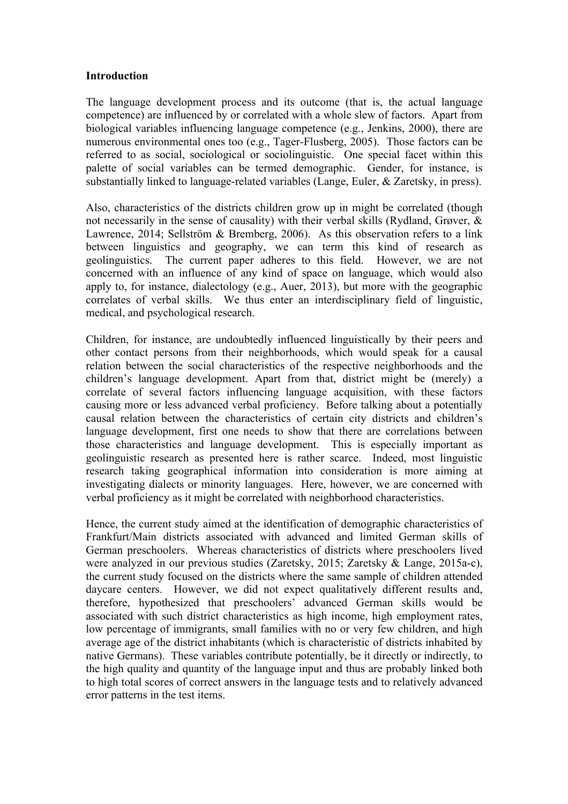### **Introduction**

The language development process and its outcome (that is, the actual language competence) are influenced by or correlated with a whole slew of factors. Apart from biological variables influencing language competence (e.g., Jenkins, 2000), there are numerous environmental ones too (e.g., Tager-Flusberg, 2005). Those factors can be referred to as social, sociological or sociolinguistic. One special facet within this palette of social variables can be termed demographic. Gender, for instance, is substantially linked to language-related variables (Lange, Euler, & Zaretsky, in press).

Also, characteristics of the districts children grow up in might be correlated (though not necessarily in the sense of causality) with their verbal skills (Rydland, Grøver, & Lawrence, 2014; Sellström & Bremberg, 2006). As this observation refers to a link between linguistics and geography, we can term this kind of research as geolinguistics. The current paper adheres to this field. However, we are not concerned with an influence of any kind of space on language, which would also apply to, for instance, dialectology (e.g., Auer, 2013), but more with the geographic correlates of verbal skills. We thus enter an interdisciplinary field of linguistic, medical, and psychological research.

Children, for instance, are undoubtedly influenced linguistically by their peers and other contact persons from their neighborhoods, which would speak for a causal relation between the social characteristics of the respective neighborhoods and the children's language development. Apart from that, district might be (merely) a correlate of several factors influencing language acquisition, with these factors causing more or less advanced verbal proficiency. Before talking about a potentially causal relation between the characteristics of certain city districts and children's language development, first one needs to show that there are correlations between those characteristics and language development. This is especially important as geolinguistic research as presented here is rather scarce. Indeed, most linguistic research taking geographical information into consideration is more aiming at investigating dialects or minority languages. Here, however, we are concerned with verbal proficiency as it might be correlated with neighborhood characteristics.

Hence, the current study aimed at the identification of demographic characteristics of Frankfurt/Main districts associated with advanced and limited German skills of German preschoolers. Whereas characteristics of districts where preschoolers lived were analyzed in our previous studies (Zaretsky, 2015; Zaretsky & Lange, 2015a-c), the current study focused on the districts where the same sample of children attended daycare centers. However, we did not expect qualitatively different results and, therefore, hypothesized that preschoolers' advanced German skills would be associated with such district characteristics as high income, high employment rates, low percentage of immigrants, small families with no or very few children, and high average age of the district inhabitants (which is characteristic of districts inhabited by native Germans). These variables contribute potentially, be it directly or indirectly, to the high quality and quantity of the language input and thus are probably linked both to high total scores of correct answers in the language tests and to relatively advanced error patterns in the test items.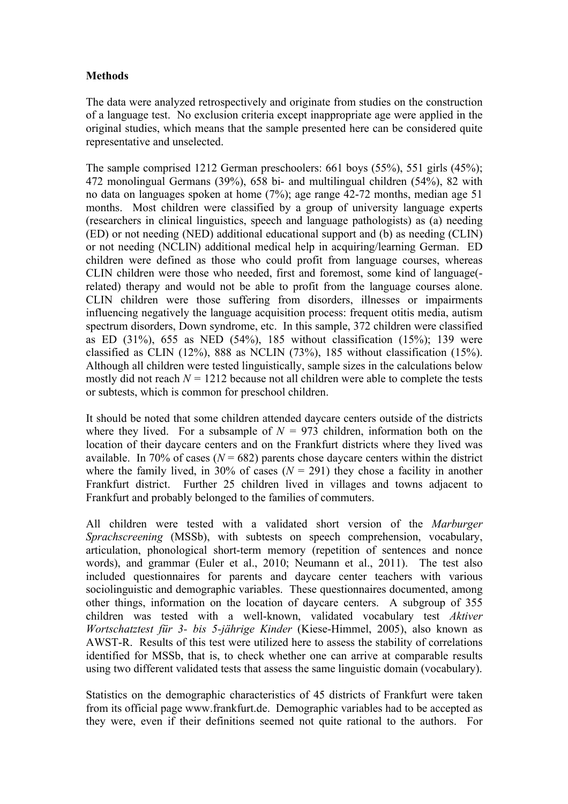# **Methods**

The data were analyzed retrospectively and originate from studies on the construction of a language test. No exclusion criteria except inappropriate age were applied in the original studies, which means that the sample presented here can be considered quite representative and unselected.

The sample comprised 1212 German preschoolers: 661 boys (55%), 551 girls (45%); 472 monolingual Germans (39%), 658 bi- and multilingual children (54%), 82 with no data on languages spoken at home (7%); age range 42-72 months, median age 51 months. Most children were classified by a group of university language experts (researchers in clinical linguistics, speech and language pathologists) as (a) needing (ED) or not needing (NED) additional educational support and (b) as needing (CLIN) or not needing (NCLIN) additional medical help in acquiring/learning German. ED children were defined as those who could profit from language courses, whereas CLIN children were those who needed, first and foremost, some kind of language( related) therapy and would not be able to profit from the language courses alone. CLIN children were those suffering from disorders, illnesses or impairments influencing negatively the language acquisition process: frequent otitis media, autism spectrum disorders, Down syndrome, etc. In this sample, 372 children were classified as ED (31%), 655 as NED (54%), 185 without classification (15%); 139 were classified as CLIN (12%), 888 as NCLIN (73%), 185 without classification (15%). Although all children were tested linguistically, sample sizes in the calculations below mostly did not reach  $N = 1212$  because not all children were able to complete the tests or subtests, which is common for preschool children.

It should be noted that some children attended daycare centers outside of the districts where they lived. For a subsample of  $N = 973$  children, information both on the location of their daycare centers and on the Frankfurt districts where they lived was available. In 70% of cases  $(N = 682)$  parents chose daycare centers within the district where the family lived, in 30% of cases  $(N = 291)$  they chose a facility in another Frankfurt district. Further 25 children lived in villages and towns adjacent to Frankfurt and probably belonged to the families of commuters.

All children were tested with a validated short version of the *Marburger Sprachscreening* (MSSb), with subtests on speech comprehension, vocabulary, articulation, phonological short-term memory (repetition of sentences and nonce words), and grammar (Euler et al., 2010; Neumann et al., 2011). The test also included questionnaires for parents and daycare center teachers with various sociolinguistic and demographic variables. These questionnaires documented, among other things, information on the location of daycare centers. A subgroup of 355 children was tested with a well-known, validated vocabulary test *Aktiver Wortschatztest für 3- bis 5-jährige Kinder* (Kiese-Himmel, 2005), also known as AWST-R. Results of this test were utilized here to assess the stability of correlations identified for MSSb, that is, to check whether one can arrive at comparable results using two different validated tests that assess the same linguistic domain (vocabulary).

Statistics on the demographic characteristics of 45 districts of Frankfurt were taken from its official page www.frankfurt.de. Demographic variables had to be accepted as they were, even if their definitions seemed not quite rational to the authors. For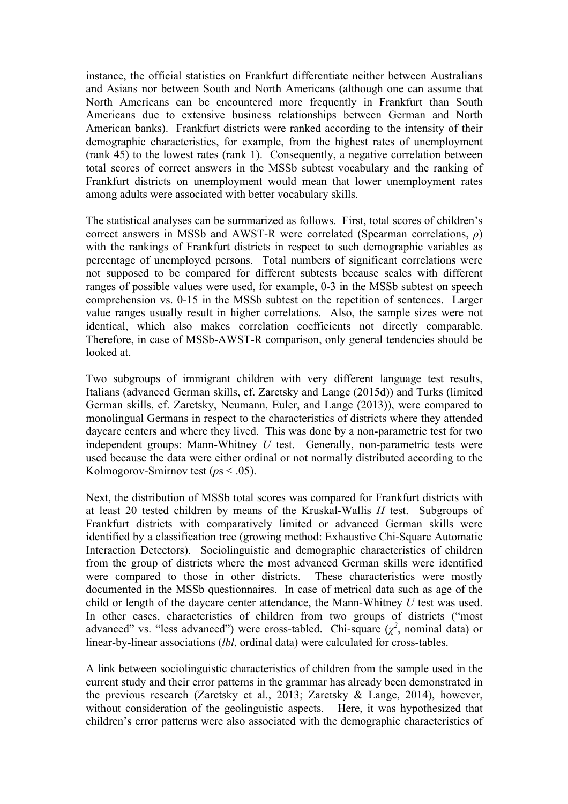instance, the official statistics on Frankfurt differentiate neither between Australians and Asians nor between South and North Americans (although one can assume that North Americans can be encountered more frequently in Frankfurt than South Americans due to extensive business relationships between German and North American banks). Frankfurt districts were ranked according to the intensity of their demographic characteristics, for example, from the highest rates of unemployment (rank 45) to the lowest rates (rank 1). Consequently, a negative correlation between total scores of correct answers in the MSSb subtest vocabulary and the ranking of Frankfurt districts on unemployment would mean that lower unemployment rates among adults were associated with better vocabulary skills.

The statistical analyses can be summarized as follows. First, total scores of children's correct answers in MSSb and AWST-R were correlated (Spearman correlations, *ρ*) with the rankings of Frankfurt districts in respect to such demographic variables as percentage of unemployed persons. Total numbers of significant correlations were not supposed to be compared for different subtests because scales with different ranges of possible values were used, for example, 0-3 in the MSSb subtest on speech comprehension vs. 0-15 in the MSSb subtest on the repetition of sentences. Larger value ranges usually result in higher correlations. Also, the sample sizes were not identical, which also makes correlation coefficients not directly comparable. Therefore, in case of MSSb-AWST-R comparison, only general tendencies should be looked at.

Two subgroups of immigrant children with very different language test results, Italians (advanced German skills, cf. Zaretsky and Lange (2015d)) and Turks (limited German skills, cf. Zaretsky, Neumann, Euler, and Lange (2013)), were compared to monolingual Germans in respect to the characteristics of districts where they attended daycare centers and where they lived. This was done by a non-parametric test for two independent groups: Mann-Whitney *U* test. Generally, non-parametric tests were used because the data were either ordinal or not normally distributed according to the Kolmogorov-Smirnov test (*p*s < .05).

Next, the distribution of MSSb total scores was compared for Frankfurt districts with at least 20 tested children by means of the Kruskal-Wallis *H* test. Subgroups of Frankfurt districts with comparatively limited or advanced German skills were identified by a classification tree (growing method: Exhaustive Chi-Square Automatic Interaction Detectors). Sociolinguistic and demographic characteristics of children from the group of districts where the most advanced German skills were identified were compared to those in other districts. These characteristics were mostly documented in the MSSb questionnaires. In case of metrical data such as age of the child or length of the daycare center attendance, the Mann-Whitney *U* test was used. In other cases, characteristics of children from two groups of districts ("most advanced" vs. "less advanced") were cross-tabled. Chi-square  $(\chi^2$ , nominal data) or linear-by-linear associations (*lbl*, ordinal data) were calculated for cross-tables.

A link between sociolinguistic characteristics of children from the sample used in the current study and their error patterns in the grammar has already been demonstrated in the previous research (Zaretsky et al., 2013; Zaretsky & Lange, 2014), however, without consideration of the geolinguistic aspects. Here, it was hypothesized that children's error patterns were also associated with the demographic characteristics of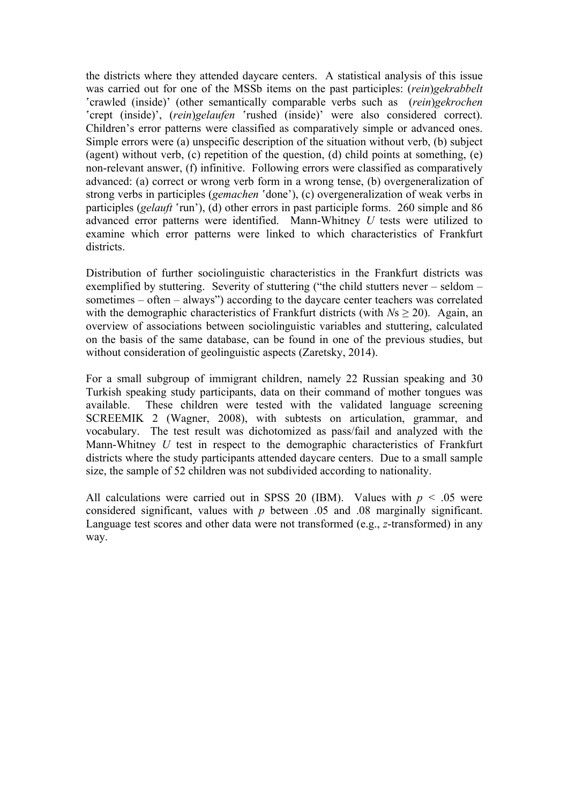the districts where they attended daycare centers. A statistical analysis of this issue was carried out for one of the MSSb items on the past participles: (*rein*)*gekrabbelt* ʽcrawled (inside)' (other semantically comparable verbs such as (*rein*)*gekrochen* 'crept (inside)', (*rein*)*gelaufen* 'rushed (inside)' were also considered correct). Children's error patterns were classified as comparatively simple or advanced ones. Simple errors were (a) unspecific description of the situation without verb, (b) subject (agent) without verb, (c) repetition of the question, (d) child points at something, (e) non-relevant answer, (f) infinitive. Following errors were classified as comparatively advanced: (a) correct or wrong verb form in a wrong tense, (b) overgeneralization of strong verbs in participles (*gemachen* 'done'), (c) overgeneralization of weak verbs in participles (*gelauft* 'run'), (d) other errors in past participle forms. 260 simple and 86 advanced error patterns were identified. Mann-Whitney *U* tests were utilized to examine which error patterns were linked to which characteristics of Frankfurt districts.

Distribution of further sociolinguistic characteristics in the Frankfurt districts was exemplified by stuttering. Severity of stuttering ("the child stutters never – seldom – sometimes – often – always") according to the daycare center teachers was correlated with the demographic characteristics of Frankfurt districts (with *Ns*  $>$  20). Again, an overview of associations between sociolinguistic variables and stuttering, calculated on the basis of the same database, can be found in one of the previous studies, but without consideration of geolinguistic aspects (Zaretsky, 2014).

For a small subgroup of immigrant children, namely 22 Russian speaking and 30 Turkish speaking study participants, data on their command of mother tongues was available. These children were tested with the validated language screening SCREEMIK 2 (Wagner, 2008), with subtests on articulation, grammar, and vocabulary. The test result was dichotomized as pass/fail and analyzed with the Mann-Whitney *U* test in respect to the demographic characteristics of Frankfurt districts where the study participants attended daycare centers. Due to a small sample size, the sample of 52 children was not subdivided according to nationality.

All calculations were carried out in SPSS 20 (IBM). Values with  $p < .05$  were considered significant, values with *p* between .05 and .08 marginally significant. Language test scores and other data were not transformed (e.g., *z*-transformed) in any way.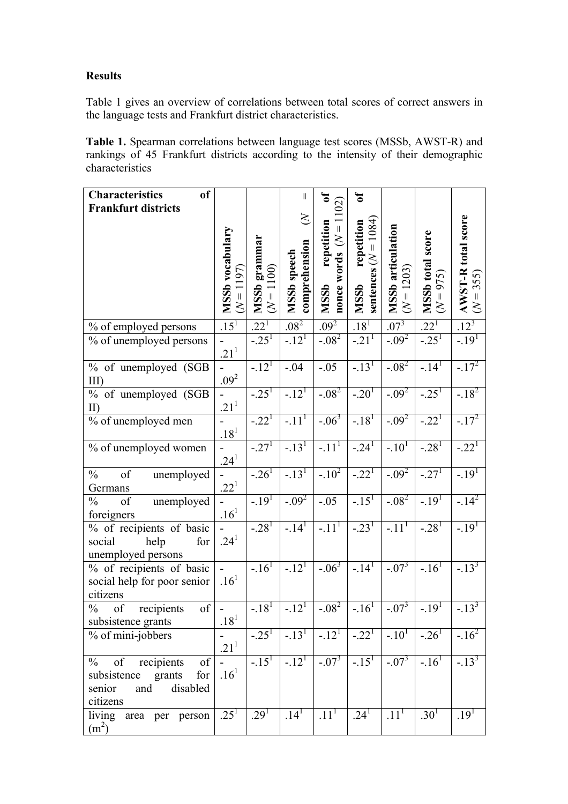# **Results**

Table 1 gives an overview of correlations between total scores of correct answers in the language tests and Frankfurt district characteristics.

**Table 1.** Spearman correlations between language test scores (MSSb, AWST-R) and rankings of 45 Frankfurt districts according to the intensity of their demographic characteristics

| <sub>of</sub><br><b>Characteristics</b>                       |                                  |                              | $\rm{II}$                    | ัธ                         | $\mathbf{a}$                |                                                |                                        |                                     |
|---------------------------------------------------------------|----------------------------------|------------------------------|------------------------------|----------------------------|-----------------------------|------------------------------------------------|----------------------------------------|-------------------------------------|
| <b>Frankfurt districts</b>                                    |                                  |                              |                              | $\rm \Xi$                  |                             |                                                |                                        |                                     |
|                                                               |                                  |                              | $\leq$                       |                            | 1084)                       |                                                |                                        |                                     |
|                                                               |                                  |                              |                              | repetition<br>$\leq$       | repetition<br>$\bar{\rm H}$ |                                                |                                        |                                     |
|                                                               |                                  |                              |                              |                            | $\lesssim$                  |                                                |                                        |                                     |
|                                                               | 197                              |                              |                              |                            |                             |                                                |                                        |                                     |
|                                                               |                                  |                              |                              |                            |                             |                                                |                                        | $T = 355$                           |
|                                                               | <b>MSSb</b> vocabulary<br>$(N=1$ | MSSb grammar<br>$(N = 1100)$ | comprehension<br>MSSb speech | nonce words<br><b>MSSb</b> | sentences<br><b>MSSb</b>    | <b>MSSb</b> articulation<br>$(N = 1203)$       | <b>MSSb</b> total score<br>$(N = 975)$ | <b>AWST-R total score</b><br>$\leq$ |
| % of employed persons                                         | $.15^{1}$                        | $22^{1}$                     | .08 <sup>2</sup>             | .09 <sup>2</sup>           | $.18^{1}$                   | $.07^{3}$                                      | $.22^{1}$                              | $12^{3}$                            |
| % of unemployed persons                                       |                                  | $-25^{1}$                    | $-12^{T}$                    | $-0.08^{2}$                | $-.21^{T}$                  | $-0.09^{2}$                                    | $-25^{1}$                              | $-.191$                             |
|                                                               | $.21^{1}$                        |                              |                              |                            |                             |                                                |                                        |                                     |
| % of unemployed (SGB                                          |                                  | $-.121$                      | $-.04$                       | $-.05$                     | $-.13$ <sup>1</sup>         | $-.08^{2}$                                     | $-14^{1}$                              | $-17^{2}$                           |
| $III$ )                                                       | $.09^{2}$                        |                              |                              |                            |                             |                                                |                                        |                                     |
| % of unemployed (SGB<br>$II$ )                                | $21^{1}$                         | $-.25^{1}$                   | $-12^{1}$                    | $-.082$                    | $-.20^{1}$                  | $-0.09^{2}$                                    | $-25^{1}$                              | $-18^{2}$                           |
| $\sqrt[6]{\begin{array}{c} 0 \end{array}}$ of unemployed men  |                                  | $-.221$                      | $-.111$                      | $-.063$                    | $-18^{1}$                   | $-0.09^{2}$                                    | $-.22^{1}$                             | $-17^{2}$                           |
|                                                               | $.18^{1}$                        |                              |                              |                            |                             |                                                |                                        |                                     |
| % of unemployed women                                         |                                  | $-27^{1}$                    | $-.131$                      | $-.111$                    | $-24$ <sup>T</sup>          | $-10^{1}$                                      | $-.28^{1}$                             | $-.221$                             |
|                                                               | $.24^{1}$                        |                              |                              |                            |                             |                                                |                                        |                                     |
| $\frac{0}{0}$<br>of<br>unemployed                             |                                  | $-26^{1}$                    | $-.131$                      | $-.10^{2}$                 | $-.221$                     | $-.09^{2}$                                     | $-27^{1}$                              | $-19^{1}$                           |
| Germans                                                       | $.22^{1}$                        |                              |                              |                            |                             |                                                |                                        |                                     |
| $\frac{0}{0}$<br>of<br>unemployed<br>foreigners               | .16 <sup>1</sup>                 | $-19^{1}$                    | $-.092$                      | $-.05$                     | $-.151$                     | $-.08^{2}$                                     | $-19^{1}$                              | $-14^{2}$                           |
| % of recipients of basic                                      |                                  | $-28^{1}$                    | $-14^{1}$                    | $-.111$                    | $-23^{1}$                   | $-11^{1}$                                      | $-28^{1}$                              | $-.191$                             |
| social<br>help<br>for                                         | $.24^{1}$                        |                              |                              |                            |                             |                                                |                                        |                                     |
| unemployed persons                                            |                                  |                              |                              |                            |                             |                                                |                                        |                                     |
| % of recipients of basic                                      |                                  | $-.161$                      | $-12^{1}$                    | $-06^{3}$                  | $-.14$ <sup>T</sup>         | $-07^{3}$                                      | $-.16^{T}$                             | $-13^{3}$                           |
| social help for poor senior                                   | $.16^{1}$                        |                              |                              |                            |                             |                                                |                                        |                                     |
| citizens                                                      |                                  |                              |                              |                            |                             |                                                |                                        |                                     |
| $\frac{0}{0}$<br>of<br>of<br>recipients<br>subsistence grants | $.18^{1}$                        | $-.181$                      | $-.121$                      | $-.08^{2}$                 | $-.161$                     | $-0.07^{3}$                                    | $-19^{1}$                              | $-13^{3}$                           |
| % of mini-jobbers                                             |                                  | $-25^{1}$                    | $-13^{1}$                    | $-12^{1}$                  |                             | $-.22^{1}$ -.10 <sup>1</sup> -.26 <sup>1</sup> |                                        | $-.16^{2}$                          |
|                                                               | .21 <sup>1</sup>                 |                              |                              |                            |                             |                                                |                                        |                                     |
| recipients<br>of<br>of<br>$\frac{0}{0}$                       |                                  | $-15^{1}$                    | $-.121$                      | $-.07^{3}$                 | $-15^{1}$                   | $-.07^{3}$                                     | $-.16$ <sup>T</sup>                    | $-13^{3}$                           |
| for<br>subsistence<br>grants                                  | $.16^{1}$                        |                              |                              |                            |                             |                                                |                                        |                                     |
| disabled<br>senior<br>and                                     |                                  |                              |                              |                            |                             |                                                |                                        |                                     |
| citizens                                                      | $.25^{1}$                        | .29 <sup>1</sup>             | $.14^{T}$                    | .11 <sup>T</sup>           | .24 <sup>1</sup>            | .11 <sup>1</sup>                               | .30 <sup>1</sup>                       | $.19^{1}$                           |
| living<br>area per person<br>(m <sup>2</sup> )                |                                  |                              |                              |                            |                             |                                                |                                        |                                     |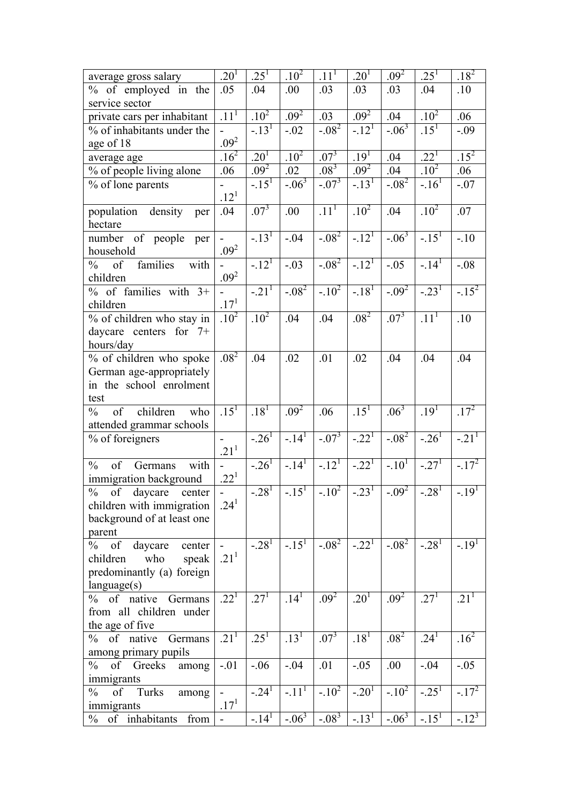| .09 <sup>2</sup>     | $.25^{1}$                                                                                                                                                                                                                      | $.18^{2}$                                                                                                                                                                                                                                                                                                                                                           |
|----------------------|--------------------------------------------------------------------------------------------------------------------------------------------------------------------------------------------------------------------------------|---------------------------------------------------------------------------------------------------------------------------------------------------------------------------------------------------------------------------------------------------------------------------------------------------------------------------------------------------------------------|
| .03                  | .04                                                                                                                                                                                                                            | .10                                                                                                                                                                                                                                                                                                                                                                 |
|                      |                                                                                                                                                                                                                                |                                                                                                                                                                                                                                                                                                                                                                     |
| .04                  |                                                                                                                                                                                                                                | .06                                                                                                                                                                                                                                                                                                                                                                 |
|                      |                                                                                                                                                                                                                                | $-.09$                                                                                                                                                                                                                                                                                                                                                              |
|                      |                                                                                                                                                                                                                                |                                                                                                                                                                                                                                                                                                                                                                     |
|                      |                                                                                                                                                                                                                                | $.15^{2}$                                                                                                                                                                                                                                                                                                                                                           |
|                      |                                                                                                                                                                                                                                | .06                                                                                                                                                                                                                                                                                                                                                                 |
|                      |                                                                                                                                                                                                                                | $-.07$                                                                                                                                                                                                                                                                                                                                                              |
|                      |                                                                                                                                                                                                                                |                                                                                                                                                                                                                                                                                                                                                                     |
|                      |                                                                                                                                                                                                                                | .07                                                                                                                                                                                                                                                                                                                                                                 |
|                      |                                                                                                                                                                                                                                |                                                                                                                                                                                                                                                                                                                                                                     |
|                      |                                                                                                                                                                                                                                | $-.10$                                                                                                                                                                                                                                                                                                                                                              |
|                      |                                                                                                                                                                                                                                |                                                                                                                                                                                                                                                                                                                                                                     |
|                      |                                                                                                                                                                                                                                | $-.08$                                                                                                                                                                                                                                                                                                                                                              |
|                      |                                                                                                                                                                                                                                |                                                                                                                                                                                                                                                                                                                                                                     |
|                      |                                                                                                                                                                                                                                | $-15^{2}$                                                                                                                                                                                                                                                                                                                                                           |
|                      |                                                                                                                                                                                                                                |                                                                                                                                                                                                                                                                                                                                                                     |
|                      |                                                                                                                                                                                                                                | .10                                                                                                                                                                                                                                                                                                                                                                 |
|                      |                                                                                                                                                                                                                                |                                                                                                                                                                                                                                                                                                                                                                     |
|                      |                                                                                                                                                                                                                                |                                                                                                                                                                                                                                                                                                                                                                     |
|                      |                                                                                                                                                                                                                                | .04                                                                                                                                                                                                                                                                                                                                                                 |
|                      |                                                                                                                                                                                                                                |                                                                                                                                                                                                                                                                                                                                                                     |
|                      |                                                                                                                                                                                                                                |                                                                                                                                                                                                                                                                                                                                                                     |
|                      |                                                                                                                                                                                                                                |                                                                                                                                                                                                                                                                                                                                                                     |
|                      |                                                                                                                                                                                                                                | $.17^{2}$                                                                                                                                                                                                                                                                                                                                                           |
|                      |                                                                                                                                                                                                                                |                                                                                                                                                                                                                                                                                                                                                                     |
|                      |                                                                                                                                                                                                                                | $-21^{1}$                                                                                                                                                                                                                                                                                                                                                           |
|                      |                                                                                                                                                                                                                                | $-17^{2}$                                                                                                                                                                                                                                                                                                                                                           |
|                      |                                                                                                                                                                                                                                |                                                                                                                                                                                                                                                                                                                                                                     |
|                      |                                                                                                                                                                                                                                | $-19^{1}$                                                                                                                                                                                                                                                                                                                                                           |
|                      |                                                                                                                                                                                                                                |                                                                                                                                                                                                                                                                                                                                                                     |
|                      |                                                                                                                                                                                                                                |                                                                                                                                                                                                                                                                                                                                                                     |
|                      |                                                                                                                                                                                                                                |                                                                                                                                                                                                                                                                                                                                                                     |
|                      |                                                                                                                                                                                                                                | $-.191$                                                                                                                                                                                                                                                                                                                                                             |
|                      |                                                                                                                                                                                                                                |                                                                                                                                                                                                                                                                                                                                                                     |
|                      |                                                                                                                                                                                                                                |                                                                                                                                                                                                                                                                                                                                                                     |
|                      |                                                                                                                                                                                                                                |                                                                                                                                                                                                                                                                                                                                                                     |
|                      |                                                                                                                                                                                                                                | .21 <sup>1</sup>                                                                                                                                                                                                                                                                                                                                                    |
|                      |                                                                                                                                                                                                                                |                                                                                                                                                                                                                                                                                                                                                                     |
|                      |                                                                                                                                                                                                                                |                                                                                                                                                                                                                                                                                                                                                                     |
|                      |                                                                                                                                                                                                                                | $.16^{2}$                                                                                                                                                                                                                                                                                                                                                           |
|                      |                                                                                                                                                                                                                                |                                                                                                                                                                                                                                                                                                                                                                     |
|                      |                                                                                                                                                                                                                                | $-.05$                                                                                                                                                                                                                                                                                                                                                              |
|                      |                                                                                                                                                                                                                                |                                                                                                                                                                                                                                                                                                                                                                     |
|                      |                                                                                                                                                                                                                                | $-17^{2}$                                                                                                                                                                                                                                                                                                                                                           |
|                      |                                                                                                                                                                                                                                |                                                                                                                                                                                                                                                                                                                                                                     |
|                      |                                                                                                                                                                                                                                | $-12^{3}$                                                                                                                                                                                                                                                                                                                                                           |
| $-0.23$ <sup>1</sup> | $-.06^{3}$<br>.04<br>.04<br>$-.08^{2}$<br>.04<br>$-06^{3}$<br>$-.05$<br>$-0.09^{2}$<br>$.07^{3}$<br>.04<br>.06 <sup>3</sup><br>$-0.08^{2}$<br>$-.10^{1}$<br>$-.082$<br>.09 <sup>2</sup><br>.08 <sup>2</sup><br>.00<br>$-.10^2$ | .10 <sup>2</sup><br>$.15^{T}$<br>$.22^{1}$<br>.10 <sup>2</sup><br>$-.16T$<br>$\overline{.10^2}$<br>$-15^{1}$<br>$-14^{1}$<br>$-23^{1}$<br>.11 <sup>1</sup><br>.04<br>.19 <sup>1</sup><br>$-26^{1}$<br>$-27^{1}$<br>$-0.09^{2}$<br>$-0.28$ <sup>T</sup><br>$-28^{1}$<br>.27 <sup>1</sup><br>.24 <sup>1</sup><br>$-.04$<br>$-25^{1}$<br>$-06^{3}$<br>$\frac{-15}{15}$ |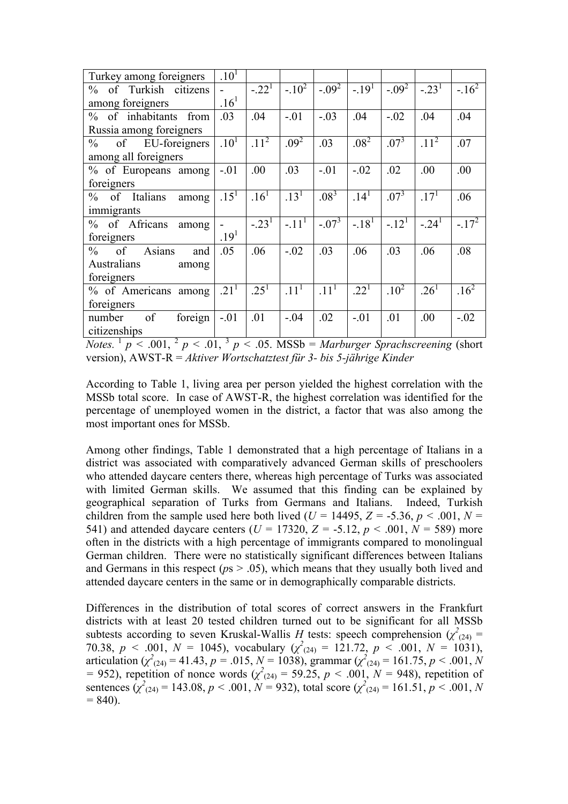| Turkey among foreigners              | .10 <sup>1</sup> |                  |                  |                  |                  |                     |                  |           |
|--------------------------------------|------------------|------------------|------------------|------------------|------------------|---------------------|------------------|-----------|
| of Turkish citizens<br>$\%$          |                  | $-.22^{T}$       | $-.10^{2}$       | $-0.09^{2}$      | $-19^{1}$        | $-0.09^{2}$         | $-.231$          | $-16^{2}$ |
| among foreigners                     | .16 <sup>1</sup> |                  |                  |                  |                  |                     |                  |           |
| % of inhabitants from                | .03              | .04              | $-.01$           | $-.03$           | .04              | $-.02$              | .04              | .04       |
| Russia among foreigners              |                  |                  |                  |                  |                  |                     |                  |           |
| of EU-foreigners<br>$\frac{0}{0}$    | .10 <sup>T</sup> | 11 <sup>2</sup>  | $.09^{2}$        | .03              | .08 <sup>2</sup> | $.07^{3}$           | 11 <sup>2</sup>  | .07       |
| among all foreigners                 |                  |                  |                  |                  |                  |                     |                  |           |
| % of Europeans among                 | $-.01$           | .00              | .03              | $-.01$           | $-.02$           | .02                 | .00              | .00       |
| foreigners                           |                  |                  |                  |                  |                  |                     |                  |           |
| of Italians<br>$\%$<br>among         | .15 <sup>1</sup> | .16 <sup>1</sup> | .13 <sup>1</sup> | $.08^{3}$        | .14 <sup>1</sup> | $.07^{3}$           | $.17^{1}$        | .06       |
| immigrants                           |                  |                  |                  |                  |                  |                     |                  |           |
| % of Africans<br>among               |                  | $-23^{1}$        | $-.111$          | $-.07^{3}$       | $-18^{1}$        | $-.12$ <sup>T</sup> | $-.241$          | $-17^{2}$ |
| foreigners                           | .19 <sup>1</sup> |                  |                  |                  |                  |                     |                  |           |
| Asians<br>$\frac{0}{0}$<br>of<br>and | .05              | .06              | $-.02$           | .03              | .06              | .03                 | .06              | .08       |
| Australians<br>among                 |                  |                  |                  |                  |                  |                     |                  |           |
| foreigners                           |                  |                  |                  |                  |                  |                     |                  |           |
| % of Americans among                 | 21 <sup>1</sup>  | .25 <sup>1</sup> | $.11^{1}$        | .11 <sup>1</sup> | $22^{1}$         | $10^{2}$            | .26 <sup>1</sup> | $16^{2}$  |
| foreigners                           |                  |                  |                  |                  |                  |                     |                  |           |
| of<br>foreign<br>number              | $-.01$           | .01              | $-.04$           | .02              | $-.01$           | .01                 | .00              | $-.02$    |
| citizenships                         |                  |                  |                  |                  |                  |                     |                  |           |

*Notes.* <sup>1</sup>  $p < .001$ , <sup>2</sup>  $p < .01$ , <sup>3</sup>  $p < .05$ . MSSb = *Marburger Sprachscreening* (short version), AWST-R = *Aktiver Wortschatztest für 3- bis 5-jährige Kinder*

According to Table 1, living area per person yielded the highest correlation with the MSSb total score. In case of AWST-R, the highest correlation was identified for the percentage of unemployed women in the district, a factor that was also among the most important ones for MSSb.

Among other findings, Table 1 demonstrated that a high percentage of Italians in a district was associated with comparatively advanced German skills of preschoolers who attended daycare centers there, whereas high percentage of Turks was associated with limited German skills. We assumed that this finding can be explained by geographical separation of Turks from Germans and Italians. Indeed, Turkish children from the sample used here both lived ( $U = 14495$ ,  $Z = -5.36$ ,  $p < .001$ ,  $N =$ 541) and attended daycare centers ( $U = 17320$ ,  $Z = -5.12$ ,  $p < .001$ ,  $N = 589$ ) more often in the districts with a high percentage of immigrants compared to monolingual German children. There were no statistically significant differences between Italians and Germans in this respect ( $ps > .05$ ), which means that they usually both lived and attended daycare centers in the same or in demographically comparable districts.

Differences in the distribution of total scores of correct answers in the Frankfurt districts with at least 20 tested children turned out to be significant for all MSSb subtests according to seven Kruskal-Wallis *H* tests: speech comprehension  $(\chi^2_{(24)} =$ 70.38,  $p < .001$ ,  $N = 1045$ ), vocabulary ( $\chi^2_{(24)} = 121.72$ ,  $p < .001$ ,  $N = 1031$ ), articulation ( $\chi^2_{(24)} = 41.43$ ,  $p = .015$ ,  $N = 1038$ ), grammar ( $\chi^2_{(24)} = 161.75$ ,  $p < .001$ , N  $=$  952), repetition of nonce words  $(\chi^2_{(24)} = 59.25, p \le .001, N = 948)$ , repetition of sentences  $(\chi^2_{(24)} = 143.08, p < .001, N = 932)$ , total score  $(\chi^2_{(24)} = 161.51, p < .001, N$ *=* 840).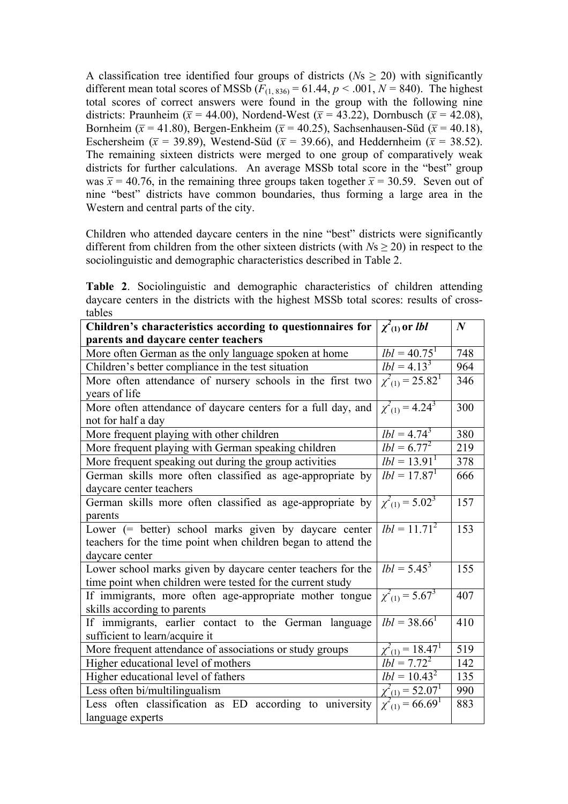A classification tree identified four groups of districts ( $Ns \ge 20$ ) with significantly different mean total scores of MSSb  $(F_{(1, 836)} = 61.44, p < .001, N = 840)$ . The highest total scores of correct answers were found in the group with the following nine districts: Praunheim ( $\bar{x}$  = 44.00), Nordend-West ( $\bar{x}$  = 43.22), Dornbusch ( $\bar{x}$  = 42.08), Bornheim ( $\bar{x}$  = 41.80), Bergen-Enkheim ( $\bar{x}$  = 40.25), Sachsenhausen-Süd ( $\bar{x}$  = 40.18), Eschersheim ( $\bar{x}$  = 39.89), Westend-Süd ( $\bar{x}$  = 39.66), and Heddernheim ( $\bar{x}$  = 38.52). The remaining sixteen districts were merged to one group of comparatively weak districts for further calculations. An average MSSb total score in the "best" group was  $\bar{x}$  = 40.76, in the remaining three groups taken together  $\bar{x}$  = 30.59. Seven out of nine "best" districts have common boundaries, thus forming a large area in the Western and central parts of the city.

Children who attended daycare centers in the nine "best" districts were significantly different from children from the other sixteen districts (with  $N_s \geq 20$ ) in respect to the sociolinguistic and demographic characteristics described in Table 2.

**Table 2**. Sociolinguistic and demographic characteristics of children attending daycare centers in the districts with the highest MSSb total scores: results of crosstables

| Children's characteristics according to questionnaires for    | $\chi^2$ <sub>(1)</sub> or <i>lbl</i>                   | $\boldsymbol{N}$ |
|---------------------------------------------------------------|---------------------------------------------------------|------------------|
| parents and daycare center teachers                           |                                                         |                  |
| More often German as the only language spoken at home         | $lbl = 40.751$                                          | 748              |
| Children's better compliance in the test situation            | $lbl = 4.13^3$                                          | 964              |
| More often attendance of nursery schools in the first two     | $\chi^2_{(1)} = 25.82^1$                                | 346              |
| years of life                                                 |                                                         |                  |
| More often attendance of daycare centers for a full day, and  | $\chi^2_{(1)} = 4.24^3$                                 | 300              |
| not for half a day                                            |                                                         |                  |
| More frequent playing with other children                     | $lbl = 4.74^3$                                          | 380              |
| More frequent playing with German speaking children           | $lbl = 6.77^2$                                          | 219              |
| More frequent speaking out during the group activities        | $lbl = 13.911$                                          | 378              |
| German skills more often classified as age-appropriate by     | $lbl = 17.87^1$                                         | 666              |
| daycare center teachers                                       |                                                         |                  |
| German skills more often classified as age-appropriate by     | $\chi^2(1) = 5.02^3$                                    | 157              |
| parents                                                       |                                                         |                  |
| Lower (= better) school marks given by daycare center         | $lbl = 11.71^2$                                         | 153              |
| teachers for the time point when children began to attend the |                                                         |                  |
| daycare center                                                |                                                         |                  |
| Lower school marks given by daycare center teachers for the   | $lbl = 5.45^3$                                          | 155              |
| time point when children were tested for the current study    |                                                         |                  |
| If immigrants, more often age-appropriate mother tongue       | $\chi^2_{(1)} = 5.67^3$                                 | 407              |
| skills according to parents                                   |                                                         |                  |
| If immigrants, earlier contact to the German language         | $lbl = 38.66^1$                                         | 410              |
| sufficient to learn/acquire it                                |                                                         |                  |
| More frequent attendance of associations or study groups      | $\frac{\chi^2_{(1)} = 18.47^1}{lbl = 7.72^2}$           | 519              |
| Higher educational level of mothers                           |                                                         | 142              |
| Higher educational level of fathers                           | $lbl = 10.43^2$                                         | 135              |
| Less often bi/multilingualism                                 |                                                         | 990              |
| Less often classification as ED according to university       | $\frac{\chi^2_{(1)} = 52.07^1}{\chi^2_{(1)} = 66.69^1}$ | 883              |
| language experts                                              |                                                         |                  |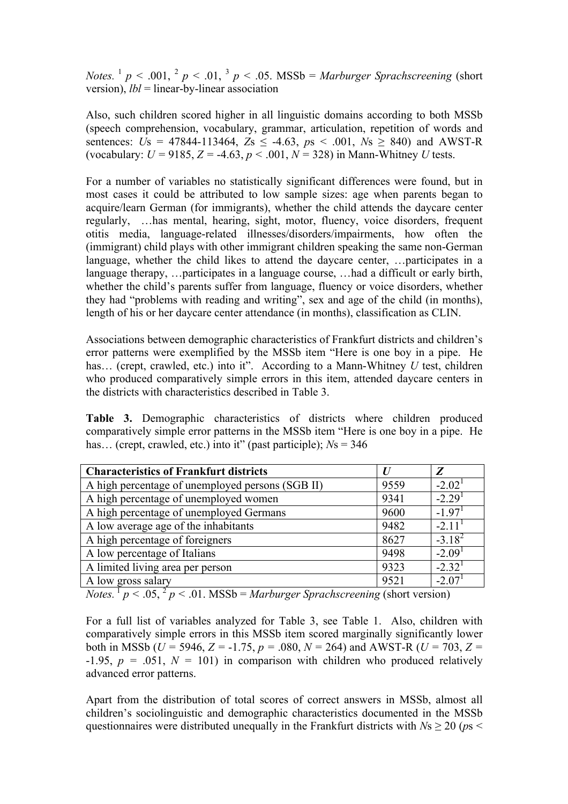*Notes.* <sup>1</sup> *p* < .001, <sup>2</sup> *p* < .01, <sup>3</sup> *p* < .05. MSSb = *Marburger Sprachscreening* (short version), *lbl* = linear-by-linear association

Also, such children scored higher in all linguistic domains according to both MSSb (speech comprehension, vocabulary, grammar, articulation, repetition of words and sentences:  $\bar{U}_s = 47844 - 113464$ ,  $\bar{Z}_s < -4.63$ ,  $\bar{p}_s < .001$ ,  $N_s > 840$ ) and AWST-R (vocabulary:  $U = 9185$ ,  $Z = -4.63$ ,  $p < .001$ ,  $N = 328$ ) in Mann-Whitney *U* tests.

For a number of variables no statistically significant differences were found, but in most cases it could be attributed to low sample sizes: age when parents began to acquire/learn German (for immigrants), whether the child attends the daycare center regularly, …has mental, hearing, sight, motor, fluency, voice disorders, frequent otitis media, language-related illnesses/disorders/impairments, how often the (immigrant) child plays with other immigrant children speaking the same non-German language, whether the child likes to attend the daycare center, …participates in a language therapy, …participates in a language course, …had a difficult or early birth, whether the child's parents suffer from language, fluency or voice disorders, whether they had "problems with reading and writing", sex and age of the child (in months), length of his or her daycare center attendance (in months), classification as CLIN.

Associations between demographic characteristics of Frankfurt districts and children's error patterns were exemplified by the MSSb item "Here is one boy in a pipe. He has... (crept, crawled, etc.) into it". According to a Mann-Whitney *U* test, children who produced comparatively simple errors in this item, attended daycare centers in the districts with characteristics described in Table 3.

**Table 3.** Demographic characteristics of districts where children produced comparatively simple error patterns in the MSSb item "Here is one boy in a pipe. He has… (crept, crawled, etc.) into it" (past participle); *N*s = 346

| <b>Characteristics of Frankfurt districts</b>    | $\bm{U}$ | Z                    |
|--------------------------------------------------|----------|----------------------|
| A high percentage of unemployed persons (SGB II) | 9559     | $-2.02^{\mathrm{T}}$ |
| A high percentage of unemployed women            | 9341     | $-2.291$             |
| A high percentage of unemployed Germans          | 9600     | $-1.971$             |
| A low average age of the inhabitants             | 9482     | $-2.11$ <sup>1</sup> |
| A high percentage of foreigners                  | 8627     | $-3.18^{2}$          |
| A low percentage of Italians                     | 9498     | $-2.091$             |
| A limited living area per person                 | 9323     | $-2.321$             |
| A low gross salary                               | 9521     | $-2.07$ <sup>1</sup> |

*Notes.*  $\frac{1}{p}$   $\lt$  .05,  $\frac{2}{p}$   $\lt$  .01. MSSb = *Marburger Sprachscreening* (short version)

For a full list of variables analyzed for Table 3, see Table 1. Also, children with comparatively simple errors in this MSSb item scored marginally significantly lower both in MSSb (*U =* 5946, *Z =* -1.75, *p =* .080, *N =* 264) and AWST-R (*U =* 703, *Z =*  $-1.95$ ,  $p = .051$ ,  $N = 101$ ) in comparison with children who produced relatively advanced error patterns.

Apart from the distribution of total scores of correct answers in MSSb, almost all children's sociolinguistic and demographic characteristics documented in the MSSb questionnaires were distributed unequally in the Frankfurt districts with  $Ns \ge 20$  ( $ps <$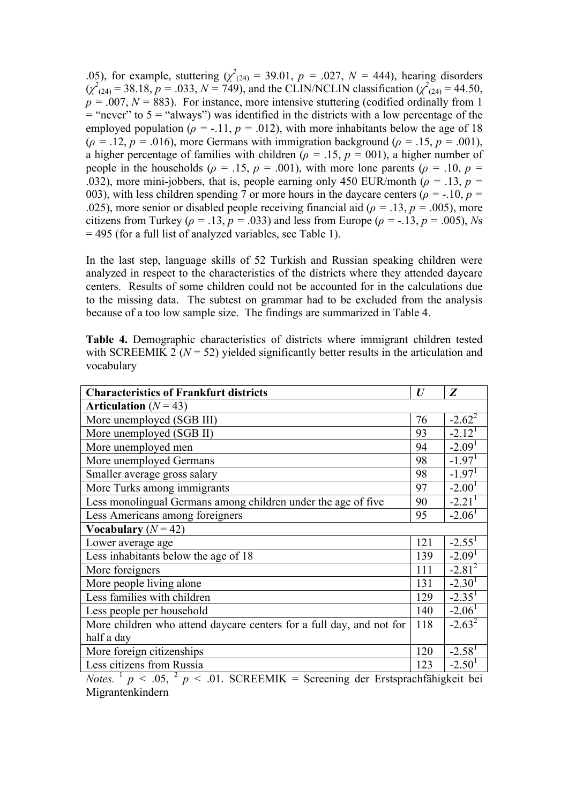05), for example, stuttering  $(\chi^2_{(24)} = 39.01, p = .027, N = 444)$ , hearing disorders  $(\chi^2)_{(24)} = 38.18, p = .033, N = 749$ , and the CLIN/NCLIN classification  $(\chi^2)_{(24)} = 44.50$ ,  $p = .007$ ,  $N = 883$ ). For instance, more intensive stuttering (codified ordinally from 1)  $=$  "never" to 5 = "always") was identified in the districts with a low percentage of the employed population ( $\rho = -11$ ,  $p = 0.012$ ), with more inhabitants below the age of 18  $(\rho = .12, p = .016)$ , more Germans with immigration background ( $\rho = .15, p = .001$ ), a higher percentage of families with children ( $\rho = .15$ ,  $p = .001$ ), a higher number of people in the households ( $\rho = .15$ ,  $p = .001$ ), with more lone parents ( $\rho = .10$ ,  $p =$ .032), more mini-jobbers, that is, people earning only 450 EUR/month ( $\rho = 0.13$ ,  $p = 0.13$ 003), with less children spending 7 or more hours in the daycare centers ( $\rho = -10$ ,  $p =$ .025), more senior or disabled people receiving financial aid ( $\rho = 0.13$ ,  $p = 0.005$ ), more citizens from Turkey ( $\rho = .13$ ,  $p = .033$ ) and less from Europe ( $\rho = .13$ ,  $p = .005$ ), *Ns* = 495 (for a full list of analyzed variables, see Table 1).

In the last step, language skills of 52 Turkish and Russian speaking children were analyzed in respect to the characteristics of the districts where they attended daycare centers. Results of some children could not be accounted for in the calculations due to the missing data. The subtest on grammar had to be excluded from the analysis because of a too low sample size. The findings are summarized in Table 4.

|            | <b>Table 4.</b> Demographic characteristics of districts where immigrant children tested  |  |  |  |
|------------|-------------------------------------------------------------------------------------------|--|--|--|
|            | with SCREEMIK 2 ( $N = 52$ ) yielded significantly better results in the articulation and |  |  |  |
| vocabulary |                                                                                           |  |  |  |

| <b>Characteristics of Frankfurt districts</b>                        | $\boldsymbol{U}$ | Z                    |  |  |  |
|----------------------------------------------------------------------|------------------|----------------------|--|--|--|
| Articulation $(N = 43)$                                              |                  |                      |  |  |  |
| More unemployed (SGB III)                                            | 76               | $-2.62^2$            |  |  |  |
| More unemployed (SGB II)                                             | 93               | $-2.121$             |  |  |  |
| More unemployed men                                                  | 94               | $-2.091$             |  |  |  |
| More unemployed Germans                                              | 98               | $-1.97$ <sup>1</sup> |  |  |  |
| Smaller average gross salary                                         | 98               | $-1.971$             |  |  |  |
| More Turks among immigrants                                          | 97               | $-2.001$             |  |  |  |
| Less monolingual Germans among children under the age of five        | 90               | $-2.21$ <sup>1</sup> |  |  |  |
| Less Americans among foreigners                                      | 95               | $-2.061$             |  |  |  |
| Vocabulary $(N = 42)$                                                |                  |                      |  |  |  |
| Lower average age                                                    | 121              | $-2.55^1$            |  |  |  |
| Less inhabitants below the age of 18                                 | 139              | $-2.091$             |  |  |  |
| More foreigners                                                      | 111              | $-2.81^{2}$          |  |  |  |
| More people living alone                                             | 131              | $-2.301$             |  |  |  |
| Less families with children                                          | 129              | $-2.351$             |  |  |  |
| Less people per household                                            | 140              | $-2.06$ <sup>1</sup> |  |  |  |
| More children who attend daycare centers for a full day, and not for | 118              | $-2.63^2$            |  |  |  |
| half a day                                                           |                  |                      |  |  |  |
| More foreign citizenships                                            | 120              | $-2.581$             |  |  |  |
| Less citizens from Russia                                            | 123              | $-2.501$             |  |  |  |

*Notes.*  $\frac{1}{p}$   $\lt$  .05,  $\frac{2}{p}$   $\lt$  .01. SCREEMIK = Screening der Erstsprachfähigkeit bei Migrantenkindern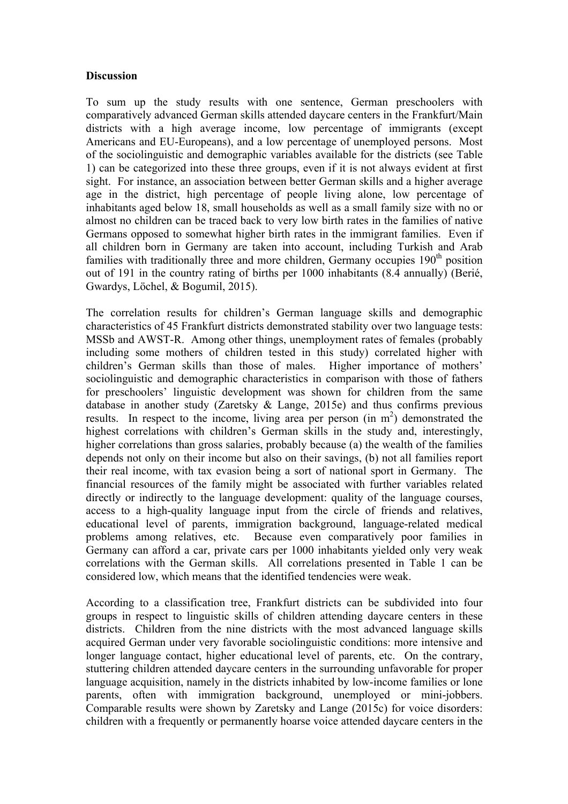### **Discussion**

To sum up the study results with one sentence, German preschoolers with comparatively advanced German skills attended daycare centers in the Frankfurt/Main districts with a high average income, low percentage of immigrants (except Americans and EU-Europeans), and a low percentage of unemployed persons. Most of the sociolinguistic and demographic variables available for the districts (see Table 1) can be categorized into these three groups, even if it is not always evident at first sight. For instance, an association between better German skills and a higher average age in the district, high percentage of people living alone, low percentage of inhabitants aged below 18, small households as well as a small family size with no or almost no children can be traced back to very low birth rates in the families of native Germans opposed to somewhat higher birth rates in the immigrant families. Even if all children born in Germany are taken into account, including Turkish and Arab families with traditionally three and more children. Germany occupies  $190<sup>th</sup>$  position out of 191 in the country rating of births per 1000 inhabitants (8.4 annually) (Berié, Gwardys, Löchel, & Bogumil, 2015).

The correlation results for children's German language skills and demographic characteristics of 45 Frankfurt districts demonstrated stability over two language tests: MSSb and AWST-R. Among other things, unemployment rates of females (probably including some mothers of children tested in this study) correlated higher with children's German skills than those of males. Higher importance of mothers' sociolinguistic and demographic characteristics in comparison with those of fathers for preschoolers' linguistic development was shown for children from the same database in another study (Zaretsky & Lange, 2015e) and thus confirms previous results. In respect to the income, living area per person (in m<sup>2</sup>) demonstrated the highest correlations with children's German skills in the study and, interestingly, higher correlations than gross salaries, probably because (a) the wealth of the families depends not only on their income but also on their savings, (b) not all families report their real income, with tax evasion being a sort of national sport in Germany. The financial resources of the family might be associated with further variables related directly or indirectly to the language development: quality of the language courses, access to a high-quality language input from the circle of friends and relatives, educational level of parents, immigration background, language-related medical problems among relatives, etc. Because even comparatively poor families in Germany can afford a car, private cars per 1000 inhabitants yielded only very weak correlations with the German skills. All correlations presented in Table 1 can be considered low, which means that the identified tendencies were weak.

According to a classification tree, Frankfurt districts can be subdivided into four groups in respect to linguistic skills of children attending daycare centers in these districts. Children from the nine districts with the most advanced language skills acquired German under very favorable sociolinguistic conditions: more intensive and longer language contact, higher educational level of parents, etc. On the contrary, stuttering children attended daycare centers in the surrounding unfavorable for proper language acquisition, namely in the districts inhabited by low-income families or lone parents, often with immigration background, unemployed or mini-jobbers. Comparable results were shown by Zaretsky and Lange (2015c) for voice disorders: children with a frequently or permanently hoarse voice attended daycare centers in the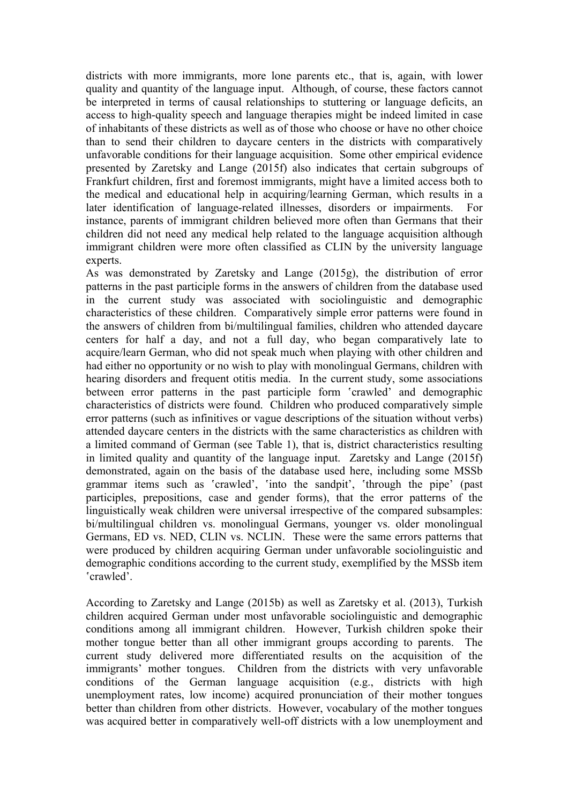districts with more immigrants, more lone parents etc., that is, again, with lower quality and quantity of the language input. Although, of course, these factors cannot be interpreted in terms of causal relationships to stuttering or language deficits, an access to high-quality speech and language therapies might be indeed limited in case of inhabitants of these districts as well as of those who choose or have no other choice than to send their children to daycare centers in the districts with comparatively unfavorable conditions for their language acquisition. Some other empirical evidence presented by Zaretsky and Lange (2015f) also indicates that certain subgroups of Frankfurt children, first and foremost immigrants, might have a limited access both to the medical and educational help in acquiring/learning German, which results in a later identification of language-related illnesses, disorders or impairments. For instance, parents of immigrant children believed more often than Germans that their children did not need any medical help related to the language acquisition although immigrant children were more often classified as CLIN by the university language experts.

As was demonstrated by Zaretsky and Lange (2015g), the distribution of error patterns in the past participle forms in the answers of children from the database used in the current study was associated with sociolinguistic and demographic characteristics of these children. Comparatively simple error patterns were found in the answers of children from bi/multilingual families, children who attended daycare centers for half a day, and not a full day, who began comparatively late to acquire/learn German, who did not speak much when playing with other children and had either no opportunity or no wish to play with monolingual Germans, children with hearing disorders and frequent otitis media. In the current study, some associations between error patterns in the past participle form 'crawled' and demographic characteristics of districts were found. Children who produced comparatively simple error patterns (such as infinitives or vague descriptions of the situation without verbs) attended daycare centers in the districts with the same characteristics as children with a limited command of German (see Table 1), that is, district characteristics resulting in limited quality and quantity of the language input. Zaretsky and Lange (2015f) demonstrated, again on the basis of the database used here, including some MSSb grammar items such as 'crawled', 'into the sandpit', 'through the pipe' (past participles, prepositions, case and gender forms), that the error patterns of the linguistically weak children were universal irrespective of the compared subsamples: bi/multilingual children vs. monolingual Germans, younger vs. older monolingual Germans, ED vs. NED, CLIN vs. NCLIN. These were the same errors patterns that were produced by children acquiring German under unfavorable sociolinguistic and demographic conditions according to the current study, exemplified by the MSSb item ʽcrawled'.

According to Zaretsky and Lange (2015b) as well as Zaretsky et al. (2013), Turkish children acquired German under most unfavorable sociolinguistic and demographic conditions among all immigrant children. However, Turkish children spoke their mother tongue better than all other immigrant groups according to parents. The current study delivered more differentiated results on the acquisition of the immigrants' mother tongues. Children from the districts with very unfavorable conditions of the German language acquisition (e.g., districts with high unemployment rates, low income) acquired pronunciation of their mother tongues better than children from other districts. However, vocabulary of the mother tongues was acquired better in comparatively well-off districts with a low unemployment and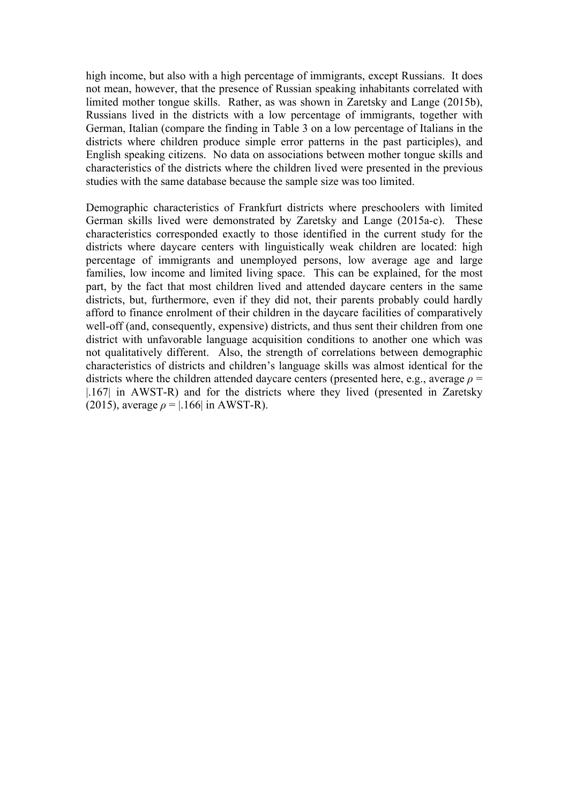high income, but also with a high percentage of immigrants, except Russians. It does not mean, however, that the presence of Russian speaking inhabitants correlated with limited mother tongue skills. Rather, as was shown in Zaretsky and Lange (2015b), Russians lived in the districts with a low percentage of immigrants, together with German, Italian (compare the finding in Table 3 on a low percentage of Italians in the districts where children produce simple error patterns in the past participles), and English speaking citizens. No data on associations between mother tongue skills and characteristics of the districts where the children lived were presented in the previous studies with the same database because the sample size was too limited.

Demographic characteristics of Frankfurt districts where preschoolers with limited German skills lived were demonstrated by Zaretsky and Lange (2015a-c). These characteristics corresponded exactly to those identified in the current study for the districts where daycare centers with linguistically weak children are located: high percentage of immigrants and unemployed persons, low average age and large families, low income and limited living space. This can be explained, for the most part, by the fact that most children lived and attended daycare centers in the same districts, but, furthermore, even if they did not, their parents probably could hardly afford to finance enrolment of their children in the daycare facilities of comparatively well-off (and, consequently, expensive) districts, and thus sent their children from one district with unfavorable language acquisition conditions to another one which was not qualitatively different. Also, the strength of correlations between demographic characteristics of districts and children's language skills was almost identical for the districts where the children attended daycare centers (presented here, e.g., average *ρ* = |.167| in AWST-R) and for the districts where they lived (presented in Zaretsky (2015), average  $\rho = |.166|$  in AWST-R).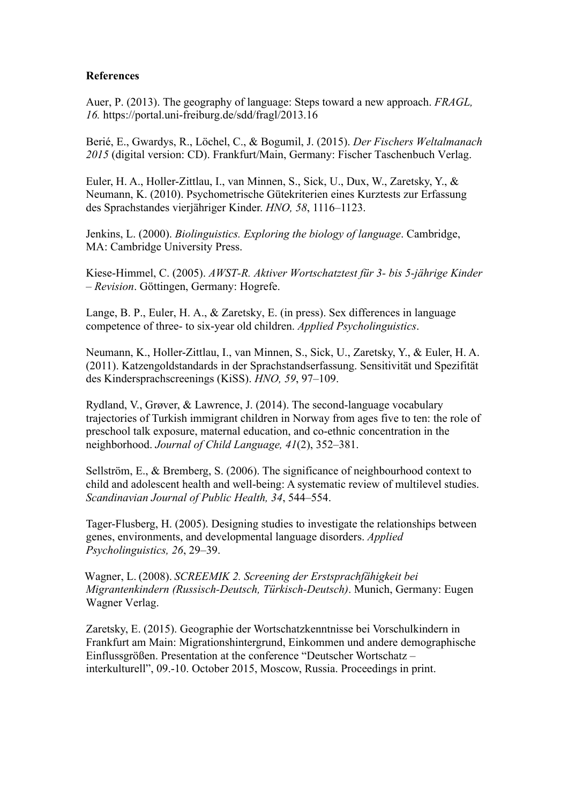## **References**

Auer, P. (2013). The geography of language: Steps toward a new approach. *FRAGL, 16.* https://portal.uni-freiburg.de/sdd/fragl/2013.16

Berié, E., Gwardys, R., Löchel, C., & Bogumil, J. (2015). *Der Fischers Weltalmanach 2015* (digital version: CD). Frankfurt/Main, Germany: Fischer Taschenbuch Verlag.

Euler, H. A., Holler-Zittlau, I., van Minnen, S., Sick, U., Dux, W., Zaretsky, Y., & Neumann, K. (2010). Psychometrische Gütekriterien eines Kurztests zur Erfassung des Sprachstandes vierjähriger Kinder. *HNO, 58*, 1116–1123.

Jenkins, L. (2000). *Biolinguistics. Exploring the biology of language*. Cambridge, MA: Cambridge University Press.

Kiese-Himmel, C. (2005). *AWST-R. Aktiver Wortschatztest für 3- bis 5-jährige Kinder – Revision*. Göttingen, Germany: Hogrefe.

Lange, B. P., Euler, H. A., & Zaretsky, E. (in press). Sex differences in language competence of three- to six-year old children. *Applied Psycholinguistics*.

Neumann, K., Holler-Zittlau, I., van Minnen, S., Sick, U., Zaretsky, Y., & Euler, H. A. (2011). Katzengoldstandards in der Sprachstandserfassung. Sensitivität und Spezifität des Kindersprachscreenings (KiSS). *HNO, 59*, 97–109.

Rydland, V., Grøver, & Lawrence, J. (2014). The second-language vocabulary trajectories of Turkish immigrant children in Norway from ages five to ten: the role of preschool talk exposure, maternal education, and co-ethnic concentration in the neighborhood. *Journal of Child Language, 41*(2), 352–381.

Sellström, E., & Bremberg, S. (2006). The significance of neighbourhood context to child and adolescent health and well-being: A systematic review of multilevel studies. *Scandinavian Journal of Public Health, 34*, 544–554.

Tager-Flusberg, H. (2005). Designing studies to investigate the relationships between genes, environments, and developmental language disorders. *Applied Psycholinguistics, 26*, 29–39.

Wagner, L. (2008). *SCREEMIK 2. Screening der Erstsprachfähigkeit bei Migrantenkindern (Russisch-Deutsch, Türkisch-Deutsch)*. Munich, Germany: Eugen Wagner Verlag.

Zaretsky, E. (2015). Geographie der Wortschatzkenntnisse bei Vorschulkindern in Frankfurt am Main: Migrationshintergrund, Einkommen und andere demographische Einflussgrößen. Presentation at the conference "Deutscher Wortschatz – interkulturell", 09.-10. October 2015, Moscow, Russia. Proceedings in print.